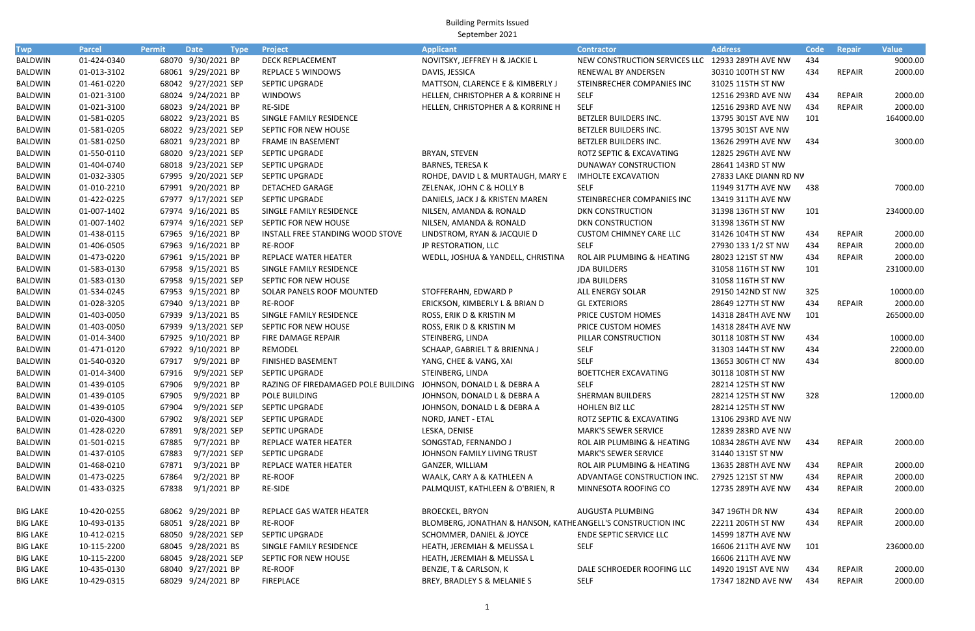Building Permits Issued September 2021

| <b>Twp</b>      | <b>Parcel</b> | <b>Permit</b> | <b>Date</b><br><b>Type</b> | <b>Project</b>                                                  | <b>Applicant</b>                                             | <b>Contractor</b>                                | <b>Address</b>         | Code | Repair        | <b>Value</b> |
|-----------------|---------------|---------------|----------------------------|-----------------------------------------------------------------|--------------------------------------------------------------|--------------------------------------------------|------------------------|------|---------------|--------------|
| <b>BALDWIN</b>  | 01-424-0340   |               | 68070 9/30/2021 BP         | DECK REPLACEMENT                                                | NOVITSKY, JEFFREY H & JACKIE L                               | NEW CONSTRUCTION SERVICES LLC 12933 289TH AVE NW |                        | 434  |               | 9000.00      |
| <b>BALDWIN</b>  | 01-013-3102   |               | 68061 9/29/2021 BP         | <b>REPLACE 5 WINDOWS</b>                                        | DAVIS, JESSICA                                               | RENEWAL BY ANDERSEN                              | 30310 100TH ST NW      | 434  | REPAIR        | 2000.00      |
| <b>BALDWIN</b>  | 01-461-0220   |               | 68042 9/27/2021 SEP        | SEPTIC UPGRADE                                                  | MATTSON, CLARENCE E & KIMBERLY J                             | STEINBRECHER COMPANIES INC                       | 31025 115TH ST NW      |      |               |              |
| BALDWIN         | 01-021-3100   |               | 68024 9/24/2021 BP         | <b>WINDOWS</b>                                                  | HELLEN, CHRISTOPHER A & KORRINE H                            | <b>SELF</b>                                      | 12516 293RD AVE NW     | 434  | <b>REPAIR</b> | 2000.00      |
| <b>BALDWIN</b>  | 01-021-3100   |               | 68023 9/24/2021 BP         | RE-SIDE                                                         | HELLEN, CHRISTOPHER A & KORRINE H                            | <b>SELF</b>                                      | 12516 293RD AVE NW     | 434  | <b>REPAIR</b> | 2000.00      |
| <b>BALDWIN</b>  | 01-581-0205   |               | 68022 9/23/2021 BS         | SINGLE FAMILY RESIDENCE                                         |                                                              | BETZLER BUILDERS INC.                            | 13795 301ST AVE NW     | 101  |               | 164000.00    |
| <b>BALDWIN</b>  | 01-581-0205   |               | 68022 9/23/2021 SEP        | SEPTIC FOR NEW HOUSE                                            |                                                              | BETZLER BUILDERS INC.                            | 13795 301ST AVE NW     |      |               |              |
| <b>BALDWIN</b>  | 01-581-0250   |               | 68021 9/23/2021 BP         | <b>FRAME IN BASEMENT</b>                                        |                                                              | BETZLER BUILDERS INC.                            | 13626 299TH AVE NW     | 434  |               | 3000.00      |
| <b>BALDWIN</b>  | 01-550-0110   |               | 68020 9/23/2021 SEP        | SEPTIC UPGRADE                                                  | <b>BRYAN, STEVEN</b>                                         | ROTZ SEPTIC & EXCAVATING                         | 12825 296TH AVE NW     |      |               |              |
| <b>BALDWIN</b>  | 01-404-0740   |               | 68018 9/23/2021 SEP        | SEPTIC UPGRADE                                                  | <b>BARNES, TERESA K</b>                                      | DUNAWAY CONSTRUCTION                             | 28641 143RD ST NW      |      |               |              |
| <b>BALDWIN</b>  | 01-032-3305   |               | 67995 9/20/2021 SEP        | SEPTIC UPGRADE                                                  | ROHDE, DAVID L & MURTAUGH, MARY E                            | <b>IMHOLTE EXCAVATION</b>                        | 27833 LAKE DIANN RD NV |      |               |              |
| <b>BALDWIN</b>  | 01-010-2210   |               | 67991 9/20/2021 BP         | DETACHED GARAGE                                                 | ZELENAK, JOHN C & HOLLY B                                    | <b>SELF</b>                                      | 11949 317TH AVE NW     | 438  |               | 7000.00      |
| <b>BALDWIN</b>  | 01-422-0225   |               | 67977 9/17/2021 SEP        | SEPTIC UPGRADE                                                  | DANIELS, JACK J & KRISTEN MAREN                              | STEINBRECHER COMPANIES INC                       | 13419 311TH AVE NW     |      |               |              |
| <b>BALDWIN</b>  | 01-007-1402   |               | 67974 9/16/2021 BS         | SINGLE FAMILY RESIDENCE                                         | NILSEN, AMANDA & RONALD                                      | <b>DKN CONSTRUCTION</b>                          | 31398 136TH ST NW      | 101  |               | 234000.00    |
| BALDWIN         | 01-007-1402   |               | 67974 9/16/2021 SEP        | SEPTIC FOR NEW HOUSE                                            | NILSEN, AMANDA & RONALD                                      | <b>DKN CONSTRUCTION</b>                          | 31398 136TH ST NW      |      |               |              |
| <b>BALDWIN</b>  | 01-438-0115   |               | 67965 9/16/2021 BP         | INSTALL FREE STANDING WOOD STOVE                                | LINDSTROM, RYAN & JACQUIE D                                  | <b>CUSTOM CHIMNEY CARE LLC</b>                   | 31426 104TH ST NW      | 434  | <b>REPAIR</b> | 2000.00      |
| <b>BALDWIN</b>  | 01-406-0505   |               | 67963 9/16/2021 BP         | <b>RE-ROOF</b>                                                  | JP RESTORATION, LLC                                          | <b>SELF</b>                                      | 27930 133 1/2 ST NW    | 434  | <b>REPAIR</b> | 2000.00      |
| BALDWIN         | 01-473-0220   |               | 67961 9/15/2021 BP         | REPLACE WATER HEATER                                            | WEDLL, JOSHUA & YANDELL, CHRISTINA                           | ROL AIR PLUMBING & HEATING                       | 28023 121ST ST NW      | 434  | <b>REPAIR</b> | 2000.00      |
| BALDWIN         | 01-583-0130   |               | 67958 9/15/2021 BS         | SINGLE FAMILY RESIDENCE                                         |                                                              | <b>JDA BUILDERS</b>                              | 31058 116TH ST NW      | 101  |               | 231000.00    |
| <b>BALDWIN</b>  | 01-583-0130   |               | 67958 9/15/2021 SEP        | SEPTIC FOR NEW HOUSE                                            |                                                              | <b>JDA BUILDERS</b>                              | 31058 116TH ST NW      |      |               |              |
| <b>BALDWIN</b>  | 01-534-0245   |               | 67953 9/15/2021 BP         | SOLAR PANELS ROOF MOUNTED                                       | STOFFERAHN, EDWARD P                                         | ALL ENERGY SOLAR                                 | 29150 142ND ST NW      | 325  |               | 10000.00     |
| <b>BALDWIN</b>  | 01-028-3205   |               | 67940 9/13/2021 BP         | <b>RE-ROOF</b>                                                  | ERICKSON, KIMBERLY L & BRIAN D                               | <b>GL EXTERIORS</b>                              | 28649 127TH ST NW      | 434  | REPAIR        | 2000.00      |
| BALDWIN         | 01-403-0050   |               | 67939 9/13/2021 BS         | SINGLE FAMILY RESIDENCE                                         | ROSS, ERIK D & KRISTIN M                                     | PRICE CUSTOM HOMES                               | 14318 284TH AVE NW     | 101  |               | 265000.00    |
| BALDWIN         | 01-403-0050   |               | 67939 9/13/2021 SEP        | SEPTIC FOR NEW HOUSE                                            | ROSS, ERIK D & KRISTIN M                                     | PRICE CUSTOM HOMES                               | 14318 284TH AVE NW     |      |               |              |
| <b>BALDWIN</b>  | 01-014-3400   |               | 67925 9/10/2021 BP         | FIRE DAMAGE REPAIR                                              | STEINBERG, LINDA                                             | PILLAR CONSTRUCTION                              | 30118 108TH ST NW      | 434  |               | 10000.00     |
| <b>BALDWIN</b>  | 01-471-0120   |               | 67922 9/10/2021 BP         | REMODEL                                                         | SCHAAP, GABRIEL T & BRIENNA J                                | <b>SELF</b>                                      | 31303 144TH ST NW      | 434  |               | 22000.00     |
| BALDWIN         | 01-540-0320   | 67917         | 9/9/2021 BP                | <b>FINISHED BASEMENT</b>                                        | YANG, CHEE & VANG, XAI                                       | <b>SELF</b>                                      | 13653 306TH CT NW      | 434  |               | 8000.00      |
| BALDWIN         | 01-014-3400   | 67916         | 9/9/2021 SEP               | SEPTIC UPGRADE                                                  | STEINBERG, LINDA                                             | <b>BOETTCHER EXCAVATING</b>                      | 30118 108TH ST NW      |      |               |              |
| <b>BALDWIN</b>  | 01-439-0105   | 67906         | 9/9/2021 BP                | RAZING OF FIREDAMAGED POLE BUILDING JOHNSON, DONALD L & DEBRA A |                                                              | <b>SELF</b>                                      | 28214 125TH ST NW      |      |               |              |
| BALDWIN         | 01-439-0105   | 67905         | 9/9/2021 BP                | POLE BUILDING                                                   | JOHNSON, DONALD L & DEBRA A                                  | SHERMAN BUILDERS                                 | 28214 125TH ST NW      | 328  |               | 12000.00     |
| <b>BALDWIN</b>  | 01-439-0105   | 67904         | 9/9/2021 SEP               | SEPTIC UPGRADE                                                  | JOHNSON, DONALD L & DEBRA A                                  | HOHLEN BIZ LLC                                   | 28214 125TH ST NW      |      |               |              |
| BALDWIN         | 01-020-4300   | 67902         | 9/8/2021 SEP               | SEPTIC UPGRADE                                                  | NORD, JANET - ETAL                                           | ROTZ SEPTIC & EXCAVATING                         | 13106 293RD AVE NW     |      |               |              |
| <b>BALDWIN</b>  | 01-428-0220   | 67891         | 9/8/2021 SEP               | SEPTIC UPGRADE                                                  | LESKA, DENISE                                                | <b>MARK'S SEWER SERVICE</b>                      | 12839 283RD AVE NW     |      |               |              |
| BALDWIN         | 01-501-0215   | 67885         | 9/7/2021 BP                | REPLACE WATER HEATER                                            | SONGSTAD, FERNANDO J                                         | ROL AIR PLUMBING & HEATING                       | 10834 286TH AVE NW     | 434  | <b>REPAIR</b> | 2000.00      |
| <b>BALDWIN</b>  | 01-437-0105   | 67883         | 9/7/2021 SEP               | SEPTIC UPGRADE                                                  | JOHNSON FAMILY LIVING TRUST                                  | <b>MARK'S SEWER SERVICE</b>                      | 31440 131ST ST NW      |      |               |              |
| BALDWIN         | 01-468-0210   | 67871         | 9/3/2021 BP                | REPLACE WATER HEATER                                            | GANZER, WILLIAM                                              | ROL AIR PLUMBING & HEATING                       | 13635 288TH AVE NW     | 434  | REPAIR        | 2000.00      |
| <b>BALDWIN</b>  | 01-473-0225   | 67864         | 9/2/2021 BP                | <b>RE-ROOF</b>                                                  | WAALK, CARY A & KATHLEEN A                                   | ADVANTAGE CONSTRUCTION INC.                      | 27925 121ST ST NW      | 434  | <b>REPAIR</b> | 2000.00      |
| BALDWIN         | 01-433-0325   | 67838         | 9/1/2021 BP                | RE-SIDE                                                         | PALMQUIST, KATHLEEN & O'BRIEN, R                             | MINNESOTA ROOFING CO                             | 12735 289TH AVE NW     | 434  | REPAIR        | 2000.00      |
| <b>BIG LAKE</b> | 10-420-0255   |               | 68062 9/29/2021 BP         | REPLACE GAS WATER HEATER                                        | <b>BROECKEL, BRYON</b>                                       | AUGUSTA PLUMBING                                 | 347 196TH DR NW        | 434  | REPAIR        | 2000.00      |
| <b>BIG LAKE</b> | 10-493-0135   |               | 68051 9/28/2021 BP         | <b>RE-ROOF</b>                                                  | BLOMBERG, JONATHAN & HANSON, KATHE ANGELL'S CONSTRUCTION INC |                                                  | 22211 206TH ST NW      | 434  | REPAIR        | 2000.00      |
| <b>BIG LAKE</b> | 10-412-0215   |               | 68050 9/28/2021 SEP        | SEPTIC UPGRADE                                                  | SCHOMMER, DANIEL & JOYCE                                     | <b>ENDE SEPTIC SERVICE LLC</b>                   | 14599 187TH AVE NW     |      |               |              |
| <b>BIG LAKE</b> | 10-115-2200   |               | 68045 9/28/2021 BS         | SINGLE FAMILY RESIDENCE                                         | HEATH, JEREMIAH & MELISSA L                                  | <b>SELF</b>                                      | 16606 211TH AVE NW     | 101  |               | 236000.00    |
| <b>BIG LAKE</b> | 10-115-2200   |               | 68045 9/28/2021 SEP        | SEPTIC FOR NEW HOUSE                                            | HEATH, JEREMIAH & MELISSA L                                  |                                                  | 16606 211TH AVE NW     |      |               |              |
| <b>BIG LAKE</b> | 10-435-0130   |               | 68040 9/27/2021 BP         | RE-ROOF                                                         | BENZIE, T & CARLSON, K                                       | DALE SCHROEDER ROOFING LLC                       | 14920 191ST AVE NW     | 434  | REPAIR        | 2000.00      |
| <b>BIG LAKE</b> | 10-429-0315   |               | 68029 9/24/2021 BP         | <b>FIREPLACE</b>                                                | BREY, BRADLEY S & MELANIE S                                  | <b>SELF</b>                                      | 17347 182ND AVE NW     | 434  | REPAIR        | 2000.00      |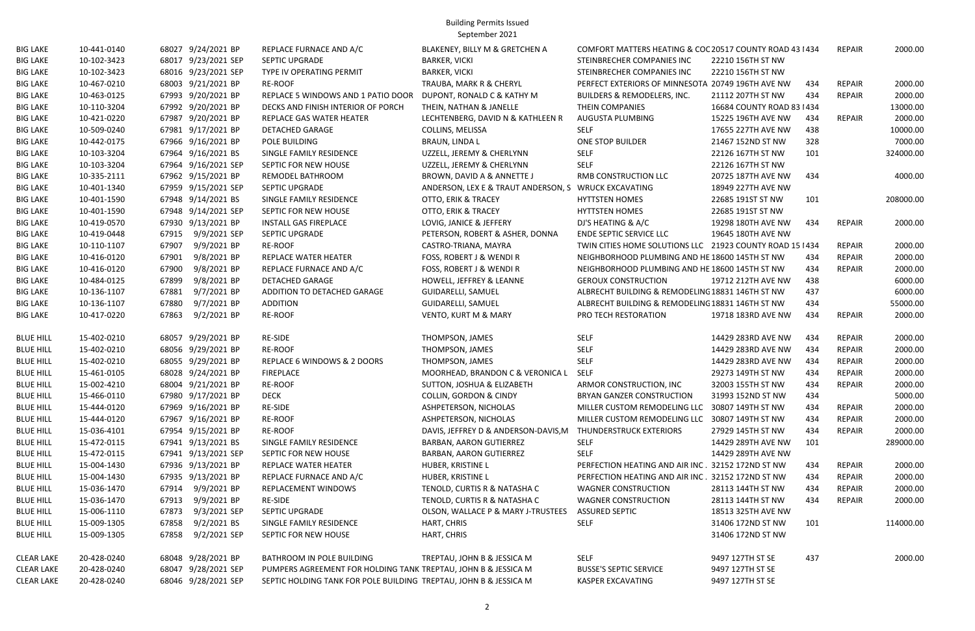Building Permits Issued September 2021

| <b>BIG LAKE</b>   | 10-441-0140 |       | 68027 9/24/2021 BP  | REPLACE FURNACE AND A/C                                           | BLAKENEY, BILLY M & GRETCHEN A       | COMFORT MATTERS HEATING & COC 20517 COUNTY ROAD 43 1434  |                            |     | <b>REPAIR</b> | 2000.00   |
|-------------------|-------------|-------|---------------------|-------------------------------------------------------------------|--------------------------------------|----------------------------------------------------------|----------------------------|-----|---------------|-----------|
| <b>BIG LAKE</b>   | 10-102-3423 |       | 68017 9/23/2021 SEP | SEPTIC UPGRADE                                                    | <b>BARKER, VICKI</b>                 | STEINBRECHER COMPANIES INC                               | 22210 156TH ST NW          |     |               |           |
| <b>BIG LAKE</b>   | 10-102-3423 |       | 68016 9/23/2021 SEP | TYPE IV OPERATING PERMIT                                          | <b>BARKER, VICKI</b>                 | STEINBRECHER COMPANIES INC                               | 22210 156TH ST NW          |     |               |           |
| <b>BIG LAKE</b>   | 10-467-0210 |       | 68003 9/21/2021 BP  | RE-ROOF                                                           | TRAUBA, MARK R & CHERYL              | PERFECT EXTERIORS OF MINNESOTA 20749 196TH AVE NW        |                            | 434 | <b>REPAIR</b> | 2000.00   |
| <b>BIG LAKE</b>   | 10-463-0125 |       | 67993 9/20/2021 BP  | REPLACE 5 WINDOWS AND 1 PATIO DOOR                                | DUPONT, RONALD C & KATHY M           | BUILDERS & REMODELERS, INC.                              | 21112 207TH ST NW          | 434 | <b>REPAIR</b> | 2000.00   |
| <b>BIG LAKE</b>   | 10-110-3204 |       | 67992 9/20/2021 BP  | DECKS AND FINISH INTERIOR OF PORCH                                | THEIN, NATHAN & JANELLE              | THEIN COMPANIES                                          | 16684 COUNTY ROAD 83   434 |     |               | 13000.00  |
| <b>BIG LAKE</b>   | 10-421-0220 |       | 67987 9/20/2021 BP  | REPLACE GAS WATER HEATER                                          | LECHTENBERG, DAVID N & KATHLEEN R    | AUGUSTA PLUMBING                                         | 15225 196TH AVE NW         | 434 | <b>REPAIR</b> | 2000.00   |
| <b>BIG LAKE</b>   | 10-509-0240 |       | 67981 9/17/2021 BP  | <b>DETACHED GARAGE</b>                                            | COLLINS, MELISSA                     | <b>SELF</b>                                              | 17655 227TH AVE NW         | 438 |               | 10000.00  |
| <b>BIG LAKE</b>   | 10-442-0175 |       | 67966 9/16/2021 BP  | POLE BUILDING                                                     | <b>BRAUN, LINDA L</b>                | ONE STOP BUILDER                                         | 21467 152ND ST NW          | 328 |               | 7000.00   |
| <b>BIG LAKE</b>   | 10-103-3204 |       | 67964 9/16/2021 BS  | SINGLE FAMILY RESIDENCE                                           | UZZELL, JEREMY & CHERLYNN            | <b>SELF</b>                                              | 22126 167TH ST NW          | 101 |               | 324000.00 |
| <b>BIG LAKE</b>   | 10-103-3204 |       | 67964 9/16/2021 SEP | SEPTIC FOR NEW HOUSE                                              | UZZELL, JEREMY & CHERLYNN            | <b>SELF</b>                                              | 22126 167TH ST NW          |     |               |           |
| <b>BIG LAKE</b>   | 10-335-2111 |       | 67962 9/15/2021 BP  | REMODEL BATHROOM                                                  | BROWN, DAVID A & ANNETTE J           | RMB CONSTRUCTION LLC                                     | 20725 187TH AVE NW         | 434 |               | 4000.00   |
| <b>BIG LAKE</b>   | 10-401-1340 |       | 67959 9/15/2021 SEP | SEPTIC UPGRADE                                                    | ANDERSON, LEX E & TRAUT ANDERSON, S  | <b>WRUCK EXCAVATING</b>                                  | 18949 227TH AVE NW         |     |               |           |
| <b>BIG LAKE</b>   | 10-401-1590 |       | 67948 9/14/2021 BS  | SINGLE FAMILY RESIDENCE                                           | OTTO, ERIK & TRACEY                  | <b>HYTTSTEN HOMES</b>                                    | 22685 191ST ST NW          | 101 |               | 208000.00 |
| <b>BIG LAKE</b>   | 10-401-1590 |       | 67948 9/14/2021 SEP | SEPTIC FOR NEW HOUSE                                              | OTTO, ERIK & TRACEY                  | <b>HYTTSTEN HOMES</b>                                    | 22685 191ST ST NW          |     |               |           |
| <b>BIG LAKE</b>   | 10-419-0570 |       | 67930 9/13/2021 BP  | <b>INSTALL GAS FIREPLACE</b>                                      | LOVIG, JANICE & JEFFERY              | DJ'S HEATING & A/C                                       | 19298 180TH AVE NW         | 434 | <b>REPAIR</b> | 2000.00   |
| <b>BIG LAKE</b>   | 10-419-0448 | 67915 | 9/9/2021 SEP        | <b>SEPTIC UPGRADE</b>                                             | PETERSON, ROBERT & ASHER, DONNA      | <b>ENDE SEPTIC SERVICE LLC</b>                           | 19645 180TH AVE NW         |     |               |           |
| <b>BIG LAKE</b>   | 10-110-1107 | 67907 | 9/9/2021 BP         | RE-ROOF                                                           | CASTRO-TRIANA, MAYRA                 | TWIN CITIES HOME SOLUTIONS LLC 21923 COUNTY ROAD 15 1434 |                            |     | <b>REPAIR</b> | 2000.00   |
| <b>BIG LAKE</b>   | 10-416-0120 | 67901 | 9/8/2021 BP         | REPLACE WATER HEATER                                              | FOSS, ROBERT J & WENDI R             | NEIGHBORHOOD PLUMBING AND HE 18600 145TH ST NW           |                            | 434 | <b>REPAIR</b> | 2000.00   |
| <b>BIG LAKE</b>   | 10-416-0120 | 67900 | 9/8/2021 BP         | REPLACE FURNACE AND A/C                                           | FOSS, ROBERT J & WENDI R             | NEIGHBORHOOD PLUMBING AND HE 18600 145TH ST NW           |                            | 434 | <b>REPAIR</b> | 2000.00   |
| <b>BIG LAKE</b>   | 10-484-0125 | 67899 | 9/8/2021 BP         | <b>DETACHED GARAGE</b>                                            | HOWELL, JEFFREY & LEANNE             | <b>GEROUX CONSTRUCTION</b>                               | 19712 212TH AVE NW         | 438 |               | 6000.00   |
| <b>BIG LAKE</b>   | 10-136-1107 | 67881 | 9/7/2021 BP         | ADDITION TO DETACHED GARAGE                                       | GUIDARELLI, SAMUEL                   | ALBRECHT BUILDING & REMODELING 18831 146TH ST NW         |                            | 437 |               | 6000.00   |
| <b>BIG LAKE</b>   | 10-136-1107 | 67880 | 9/7/2021 BP         | ADDITION                                                          | GUIDARELLI, SAMUEL                   | ALBRECHT BUILDING & REMODELING 18831 146TH ST NW         |                            | 434 |               | 55000.00  |
| <b>BIG LAKE</b>   | 10-417-0220 | 67863 | 9/2/2021 BP         | RE-ROOF                                                           | <b>VENTO, KURT M &amp; MARY</b>      | PRO TECH RESTORATION                                     | 19718 183RD AVE NW         | 434 | REPAIR        | 2000.00   |
| <b>BLUE HILL</b>  | 15-402-0210 |       | 68057 9/29/2021 BP  | RE-SIDE                                                           | THOMPSON, JAMES                      | <b>SELF</b>                                              | 14429 283RD AVE NW         | 434 | REPAIR        | 2000.00   |
| <b>BLUE HILL</b>  | 15-402-0210 |       | 68056 9/29/2021 BP  | <b>RE-ROOF</b>                                                    | THOMPSON, JAMES                      | <b>SELF</b>                                              | 14429 283RD AVE NW         | 434 | <b>REPAIR</b> | 2000.00   |
| <b>BLUE HILL</b>  | 15-402-0210 |       | 68055 9/29/2021 BP  | REPLACE 6 WINDOWS & 2 DOORS                                       | THOMPSON, JAMES                      | <b>SELF</b>                                              | 14429 283RD AVE NW         | 434 | <b>REPAIR</b> | 2000.00   |
| <b>BLUE HILL</b>  | 15-461-0105 |       | 68028 9/24/2021 BP  | <b>FIREPLACE</b>                                                  | MOORHEAD, BRANDON C & VERONICA L     | SELF                                                     | 29273 149TH ST NW          | 434 | <b>REPAIR</b> | 2000.00   |
| <b>BLUE HILL</b>  | 15-002-4210 |       | 68004 9/21/2021 BP  | RE-ROOF                                                           | SUTTON, JOSHUA & ELIZABETH           | ARMOR CONSTRUCTION, INC                                  | 32003 155TH ST NW          | 434 | <b>REPAIR</b> | 2000.00   |
| <b>BLUE HILL</b>  | 15-466-0110 |       | 67980 9/17/2021 BP  | <b>DECK</b>                                                       | <b>COLLIN, GORDON &amp; CINDY</b>    | <b>BRYAN GANZER CONSTRUCTION</b>                         | 31993 152ND ST NW          | 434 |               | 5000.00   |
| <b>BLUE HILL</b>  | 15-444-0120 |       | 67969 9/16/2021 BP  | RE-SIDE                                                           | ASHPETERSON, NICHOLAS                | MILLER CUSTOM REMODELING LLC 30807 149TH ST NW           |                            | 434 | <b>REPAIR</b> | 2000.00   |
| <b>BLUE HILL</b>  | 15-444-0120 |       | 67967 9/16/2021 BP  | RE-ROOF                                                           | ASHPETERSON, NICHOLAS                | MILLER CUSTOM REMODELING LLC 30807 149TH ST NW           |                            | 434 | <b>REPAIR</b> | 2000.00   |
| <b>BLUE HILL</b>  | 15-036-4101 |       | 67954 9/15/2021 BP  | RE-ROOF                                                           | DAVIS, JEFFREY D & ANDERSON-DAVIS, M | THUNDERSTRUCK EXTERIORS                                  | 27929 145TH ST NW          | 434 | <b>REPAIR</b> | 2000.00   |
| <b>BLUE HILL</b>  | 15-472-0115 |       | 67941 9/13/2021 BS  | SINGLE FAMILY RESIDENCE                                           | BARBAN, AARON GUTIERREZ              | <b>SELF</b>                                              | 14429 289TH AVE NW         | 101 |               | 289000.00 |
| <b>BLUE HILL</b>  | 15-472-0115 |       | 67941 9/13/2021 SEP | SEPTIC FOR NEW HOUSE                                              | BARBAN, AARON GUTIERREZ              | <b>SELF</b>                                              | 14429 289TH AVE NW         |     |               |           |
| <b>BLUE HILL</b>  | 15-004-1430 |       | 67936 9/13/2021 BP  | REPLACE WATER HEATER                                              | HUBER, KRISTINE L                    | PERFECTION HEATING AND AIR INC. 32152 172ND ST NW        |                            | 434 | <b>REPAIR</b> | 2000.00   |
| <b>BLUE HILL</b>  | 15-004-1430 |       | 67935 9/13/2021 BP  | REPLACE FURNACE AND A/C                                           | HUBER, KRISTINE L                    | PERFECTION HEATING AND AIR INC. 32152 172ND ST NW        |                            | 434 | <b>REPAIR</b> | 2000.00   |
| <b>BLUE HILL</b>  | 15-036-1470 | 67914 | 9/9/2021 BP         | REPLACEMENT WINDOWS                                               | TENOLD, CURTIS R & NATASHA C         | <b>WAGNER CONSTRUCTION</b>                               | 28113 144TH ST NW          | 434 | <b>REPAIR</b> | 2000.00   |
| <b>BLUE HILL</b>  | 15-036-1470 | 67913 | 9/9/2021 BP         | RE-SIDE                                                           | TENOLD, CURTIS R & NATASHA C         | <b>WAGNER CONSTRUCTION</b>                               | 28113 144TH ST NW          | 434 | <b>REPAIR</b> | 2000.00   |
| <b>BLUE HILL</b>  | 15-006-1110 | 67873 | 9/3/2021 SEP        | SEPTIC UPGRADE                                                    | OLSON, WALLACE P & MARY J-TRUSTEES   | <b>ASSURED SEPTIC</b>                                    | 18513 325TH AVE NW         |     |               |           |
| <b>BLUE HILL</b>  | 15-009-1305 | 67858 | 9/2/2021 BS         | SINGLE FAMILY RESIDENCE                                           | HART, CHRIS                          | <b>SELF</b>                                              | 31406 172ND ST NW          | 101 |               | 114000.00 |
| <b>BLUE HILL</b>  | 15-009-1305 | 67858 | 9/2/2021 SEP        | SEPTIC FOR NEW HOUSE                                              | HART, CHRIS                          |                                                          | 31406 172ND ST NW          |     |               |           |
| <b>CLEAR LAKE</b> | 20-428-0240 |       | 68048 9/28/2021 BP  | BATHROOM IN POLE BUILDING                                         | TREPTAU, JOHN B & JESSICA M          | <b>SELF</b>                                              | 9497 127TH ST SE           | 437 |               | 2000.00   |
| <b>CLEAR LAKE</b> | 20-428-0240 |       | 68047 9/28/2021 SEP | PUMPERS AGREEMENT FOR HOLDING TANK TREPTAU, JOHN B & JESSICA M    |                                      | <b>BUSSE'S SEPTIC SERVICE</b>                            | 9497 127TH ST SE           |     |               |           |
| <b>CLEAR LAKE</b> | 20-428-0240 |       | 68046 9/28/2021 SEP | SEPTIC HOLDING TANK FOR POLE BUILDING TREPTAU, JOHN B & JESSICA M |                                      | KASPER EXCAVATING                                        | 9497 127TH ST SE           |     |               |           |
|                   |             |       |                     |                                                                   |                                      |                                                          |                            |     |               |           |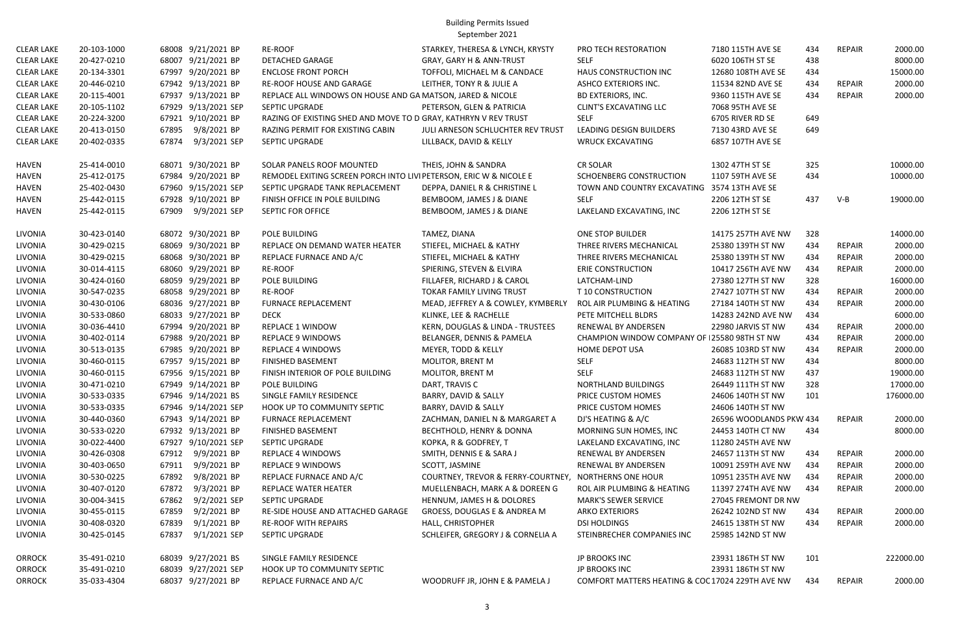Building Permits Issued September 2021

| <b>CLEAR LAKE</b> | 20-103-1000 | 68008 9/21/2021 BP    | <b>RE-ROOF</b>                                                    | STARKEY, THERESA & LYNCH, KRYSTY                      | PRO TECH RESTORATION                             | 7180 115TH AVE SE       | 434 | <b>REPAIR</b> | 2000.00   |
|-------------------|-------------|-----------------------|-------------------------------------------------------------------|-------------------------------------------------------|--------------------------------------------------|-------------------------|-----|---------------|-----------|
| <b>CLEAR LAKE</b> | 20-427-0210 | 68007 9/21/2021 BP    | <b>DETACHED GARAGE</b>                                            | GRAY, GARY H & ANN-TRUST                              | <b>SELF</b>                                      | 6020 106TH ST SE        | 438 |               | 8000.00   |
| <b>CLEAR LAKE</b> | 20-134-3301 | 67997 9/20/2021 BP    | <b>ENCLOSE FRONT PORCH</b>                                        | TOFFOLI, MICHAEL M & CANDACE                          | HAUS CONSTRUCTION INC                            | 12680 108TH AVE SE      | 434 |               | 15000.00  |
| <b>CLEAR LAKE</b> | 20-446-0210 | 67942 9/13/2021 BP    | RE-ROOF HOUSE AND GARAGE                                          | LEITHER, TONY R & JULIE A                             | <b>ASHCO EXTERIORS INC.</b>                      | 11534 82ND AVE SE       | 434 | <b>REPAIR</b> | 2000.00   |
| <b>CLEAR LAKE</b> | 20-115-4001 | 67937 9/13/2021 BP    | REPLACE ALL WINDOWS ON HOUSE AND GA MATSON, JARED & NICOLE        |                                                       | <b>BD EXTERIORS, INC.</b>                        | 9360 115TH AVE SE       | 434 | <b>REPAIR</b> | 2000.00   |
| <b>CLEAR LAKE</b> | 20-105-1102 | 67929 9/13/2021 SEP   | SEPTIC UPGRADE                                                    | PETERSON, GLEN & PATRICIA                             | <b>CLINT'S EXCAVATING LLC</b>                    | 7068 95TH AVE SE        |     |               |           |
| <b>CLEAR LAKE</b> | 20-224-3200 | 67921 9/10/2021 BP    | RAZING OF EXISTING SHED AND MOVE TO D GRAY, KATHRYN V REV TRUST   |                                                       | <b>SELF</b>                                      | 6705 RIVER RD SE        | 649 |               |           |
| <b>CLEAR LAKE</b> | 20-413-0150 | 9/8/2021 BP<br>67895  | RAZING PERMIT FOR EXISTING CABIN                                  | JULI ARNESON SCHLUCHTER REV TRUST                     | LEADING DESIGN BUILDERS                          | 7130 43RD AVE SE        | 649 |               |           |
| <b>CLEAR LAKE</b> | 20-402-0335 | 9/3/2021 SEP<br>67874 | <b>SEPTIC UPGRADE</b>                                             | LILLBACK, DAVID & KELLY                               | <b>WRUCK EXCAVATING</b>                          | 6857 107TH AVE SE       |     |               |           |
| <b>HAVEN</b>      | 25-414-0010 | 68071 9/30/2021 BP    | SOLAR PANELS ROOF MOUNTED                                         | THEIS, JOHN & SANDRA                                  | CR SOLAR                                         | 1302 47TH ST SE         | 325 |               | 10000.00  |
| <b>HAVEN</b>      | 25-412-0175 | 67984 9/20/2021 BP    | REMODEL EXITING SCREEN PORCH INTO LIVIPETERSON, ERIC W & NICOLE E |                                                       | SCHOENBERG CONSTRUCTION                          | 1107 59TH AVE SE        | 434 |               | 10000.00  |
| <b>HAVEN</b>      | 25-402-0430 | 67960 9/15/2021 SEP   | SEPTIC UPGRADE TANK REPLACEMENT                                   | DEPPA, DANIEL R & CHRISTINE L                         | TOWN AND COUNTRY EXCAVATING 3574 13TH AVE SE     |                         |     |               |           |
| HAVEN             | 25-442-0115 | 67928 9/10/2021 BP    | FINISH OFFICE IN POLE BUILDING                                    | BEMBOOM, JAMES J & DIANE                              | <b>SELF</b>                                      | 2206 12TH ST SE         | 437 | $V-B$         | 19000.00  |
| <b>HAVEN</b>      | 25-442-0115 | 67909<br>9/9/2021 SEP | SEPTIC FOR OFFICE                                                 | BEMBOOM, JAMES J & DIANE                              | LAKELAND EXCAVATING, INC                         | 2206 12TH ST SE         |     |               |           |
| LIVONIA           | 30-423-0140 | 68072 9/30/2021 BP    | POLE BUILDING                                                     | TAMEZ, DIANA                                          | ONE STOP BUILDER                                 | 14175 257TH AVE NW      | 328 |               | 14000.00  |
| LIVONIA           | 30-429-0215 | 68069 9/30/2021 BP    | REPLACE ON DEMAND WATER HEATER                                    | STIEFEL, MICHAEL & KATHY                              | THREE RIVERS MECHANICAL                          | 25380 139TH ST NW       | 434 | REPAIR        | 2000.00   |
| <b>LIVONIA</b>    | 30-429-0215 | 68068 9/30/2021 BP    | REPLACE FURNACE AND A/C                                           | STIEFEL, MICHAEL & KATHY                              | THREE RIVERS MECHANICAL                          | 25380 139TH ST NW       | 434 | <b>REPAIR</b> | 2000.00   |
| LIVONIA           | 30-014-4115 | 68060 9/29/2021 BP    | <b>RE-ROOF</b>                                                    | SPIERING, STEVEN & ELVIRA                             | <b>ERIE CONSTRUCTION</b>                         | 10417 256TH AVE NW      | 434 | <b>REPAIR</b> | 2000.00   |
| LIVONIA           | 30-424-0160 | 68059 9/29/2021 BP    | POLE BUILDING                                                     | FILLAFER, RICHARD J & CAROL                           | LATCHAM-LIND                                     | 27380 127TH ST NW       | 328 |               | 16000.00  |
| LIVONIA           | 30-547-0235 | 68058 9/29/2021 BP    | <b>RE-ROOF</b>                                                    | TOKAR FAMILY LIVING TRUST                             | T 10 CONSTRUCTION                                | 27427 107TH ST NW       | 434 | <b>REPAIR</b> | 2000.00   |
| LIVONIA           | 30-430-0106 | 68036 9/27/2021 BP    | <b>FURNACE REPLACEMENT</b>                                        | MEAD, JEFFREY A & COWLEY, KYMBERLY                    | ROL AIR PLUMBING & HEATING                       | 27184 140TH ST NW       | 434 | <b>REPAIR</b> | 2000.00   |
| LIVONIA           | 30-533-0860 | 68033 9/27/2021 BP    | <b>DECK</b>                                                       | KLINKE, LEE & RACHELLE                                | PETE MITCHELL BLDRS                              | 14283 242ND AVE NW      | 434 |               | 6000.00   |
| LIVONIA           | 30-036-4410 | 67994 9/20/2021 BP    | REPLACE 1 WINDOW                                                  | KERN, DOUGLAS & LINDA - TRUSTEES                      | RENEWAL BY ANDERSEN                              | 22980 JARVIS ST NW      | 434 | <b>REPAIR</b> | 2000.00   |
| <b>LIVONIA</b>    | 30-402-0114 | 67988 9/20/2021 BP    | <b>REPLACE 9 WINDOWS</b>                                          | BELANGER, DENNIS & PAMELA                             | CHAMPION WINDOW COMPANY OF 125580 98TH ST NW     |                         | 434 | <b>REPAIR</b> | 2000.00   |
| LIVONIA           | 30-513-0135 | 67985 9/20/2021 BP    | <b>REPLACE 4 WINDOWS</b>                                          | MEYER, TODD & KELLY                                   | HOME DEPOT USA                                   | 26085 103RD ST NW       | 434 | <b>REPAIR</b> | 2000.00   |
| LIVONIA           | 30-460-0115 | 67957 9/15/2021 BP    | FINISHED BASEMENT                                                 | MOLITOR, BRENT M                                      | <b>SELF</b>                                      | 24683 112TH ST NW       | 434 |               | 8000.00   |
| LIVONIA           | 30-460-0115 | 67956 9/15/2021 BP    | FINISH INTERIOR OF POLE BUILDING                                  | MOLITOR, BRENT M                                      | <b>SELF</b>                                      | 24683 112TH ST NW       | 437 |               | 19000.00  |
| LIVONIA           | 30-471-0210 | 67949 9/14/2021 BP    | POLE BUILDING                                                     | DART, TRAVIS C                                        | NORTHLAND BUILDINGS                              | 26449 111TH ST NW       | 328 |               | 17000.00  |
| LIVONIA           | 30-533-0335 | 67946 9/14/2021 BS    | SINGLE FAMILY RESIDENCE                                           | BARRY, DAVID & SALLY                                  | PRICE CUSTOM HOMES                               | 24606 140TH ST NW       | 101 |               | 176000.00 |
| LIVONIA           | 30-533-0335 | 67946 9/14/2021 SEP   | HOOK UP TO COMMUNITY SEPTIC                                       | BARRY, DAVID & SALLY                                  | PRICE CUSTOM HOMES                               | 24606 140TH ST NW       |     |               |           |
| LIVONIA           | 30-440-0360 | 67943 9/14/2021 BP    | FURNACE REPLACEMENT                                               | ZACHMAN, DANIEL N & MARGARET A                        | DJ'S HEATING & A/C                               | 26596 WOODLANDS PKW 434 |     | <b>REPAIR</b> | 2000.00   |
| LIVONIA           | 30-533-0220 | 67932 9/13/2021 BP    | <b>FINISHED BASEMENT</b>                                          | <b>BECHTHOLD, HENRY &amp; DONNA</b>                   | MORNING SUN HOMES, INC                           | 24453 140TH CT NW       | 434 |               | 8000.00   |
| LIVONIA           | 30-022-4400 | 67927 9/10/2021 SEP   | SEPTIC UPGRADE                                                    | KOPKA, R & GODFREY, T                                 | LAKELAND EXCAVATING, INC                         | 11280 245TH AVE NW      |     |               |           |
| LIVONIA           | 30-426-0308 | 9/9/2021 BP<br>67912  | REPLACE 4 WINDOWS                                                 | SMITH, DENNIS E & SARA J                              | RENEWAL BY ANDERSEN                              | 24657 113TH ST NW       | 434 | <b>REPAIR</b> | 2000.00   |
| LIVONIA           | 30-403-0650 | 9/9/2021 BP<br>67911  | REPLACE 9 WINDOWS                                                 | SCOTT, JASMINE                                        | RENEWAL BY ANDERSEN                              | 10091 259TH AVE NW      | 434 | <b>REPAIR</b> | 2000.00   |
| LIVONIA           | 30-530-0225 | 9/8/2021 BP<br>67892  | REPLACE FURNACE AND A/C                                           | COURTNEY, TREVOR & FERRY-COURTNEY, NORTHERNS ONE HOUR |                                                  | 10951 235TH AVE NW      | 434 | <b>REPAIR</b> | 2000.00   |
| LIVONIA           | 30-407-0120 | 9/3/2021 BP<br>67872  | REPLACE WATER HEATER                                              | MUELLENBACH, MARK A & DOREEN G                        | ROL AIR PLUMBING & HEATING                       | 11397 274TH AVE NW      | 434 | REPAIR        | 2000.00   |
| LIVONIA           | 30-004-3415 | 67862<br>9/2/2021 SEP | SEPTIC UPGRADE                                                    | HENNUM, JAMES H & DOLORES                             | <b>MARK'S SEWER SERVICE</b>                      | 27045 FREMONT DR NW     |     |               |           |
| LIVONIA           | 30-455-0115 | 9/2/2021 BP<br>67859  | RE-SIDE HOUSE AND ATTACHED GARAGE                                 | GROESS, DOUGLAS E & ANDREA M                          | <b>ARKO EXTERIORS</b>                            | 26242 102ND ST NW       | 434 | <b>REPAIR</b> | 2000.00   |
| LIVONIA           | 30-408-0320 | 9/1/2021 BP<br>67839  | <b>RE-ROOF WITH REPAIRS</b>                                       | HALL, CHRISTOPHER                                     | <b>DSI HOLDINGS</b>                              | 24615 138TH ST NW       | 434 | <b>REPAIR</b> | 2000.00   |
| LIVONIA           | 30-425-0145 | 67837<br>9/1/2021 SEP | SEPTIC UPGRADE                                                    | SCHLEIFER, GREGORY J & CORNELIA A                     | STEINBRECHER COMPANIES INC                       | 25985 142ND ST NW       |     |               |           |
| <b>ORROCK</b>     | 35-491-0210 | 68039 9/27/2021 BS    | SINGLE FAMILY RESIDENCE                                           |                                                       | JP BROOKS INC                                    | 23931 186TH ST NW       | 101 |               | 222000.00 |
| <b>ORROCK</b>     | 35-491-0210 | 68039 9/27/2021 SEP   | HOOK UP TO COMMUNITY SEPTIC                                       |                                                       | JP BROOKS INC                                    | 23931 186TH ST NW       |     |               |           |
| <b>ORROCK</b>     | 35-033-4304 | 68037 9/27/2021 BP    | REPLACE FURNACE AND A/C                                           | WOODRUFF JR, JOHN E & PAMELA J                        | COMFORT MATTERS HEATING & COC 17024 229TH AVE NW |                         | 434 | REPAIR        | 2000.00   |
|                   |             |                       |                                                                   |                                                       |                                                  |                         |     |               |           |